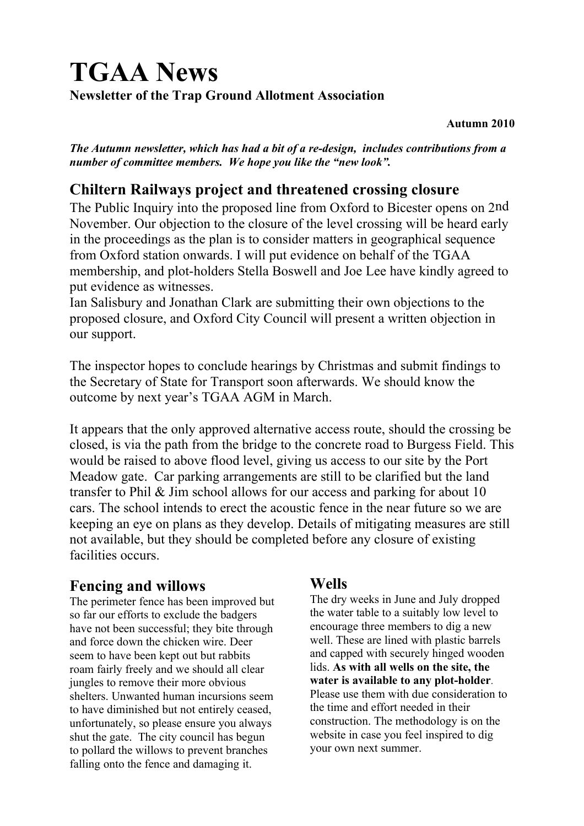# **TGAA News Newsletter of the Trap Ground Allotment Association**

#### **Autumn 2010**

*The Autumn newsletter, which has had a bit of a re-design, includes contributions from a number of committee members. We hope you like the "new look".*

#### **Chiltern Railways project and threatened crossing closure**

The Public Inquiry into the proposed line from Oxford to Bicester opens on 2nd November. Our objection to the closure of the level crossing will be heard early in the proceedings as the plan is to consider matters in geographical sequence from Oxford station onwards. I will put evidence on behalf of the TGAA membership, and plot-holders Stella Boswell and Joe Lee have kindly agreed to put evidence as witnesses.

Ian Salisbury and Jonathan Clark are submitting their own objections to the proposed closure, and Oxford City Council will present a written objection in our support.

The inspector hopes to conclude hearings by Christmas and submit findings to the Secretary of State for Transport soon afterwards. We should know the outcome by next year's TGAA AGM in March.

It appears that the only approved alternative access route, should the crossing be closed, is via the path from the bridge to the concrete road to Burgess Field. This would be raised to above flood level, giving us access to our site by the Port Meadow gate. Car parking arrangements are still to be clarified but the land transfer to Phil & Jim school allows for our access and parking for about 10 cars. The school intends to erect the acoustic fence in the near future so we are keeping an eye on plans as they develop. Details of mitigating measures are still not available, but they should be completed before any closure of existing facilities occurs.

#### **Fencing and willows**

The perimeter fence has been improved but so far our efforts to exclude the badgers have not been successful; they bite through and force down the chicken wire. Deer seem to have been kept out but rabbits roam fairly freely and we should all clear jungles to remove their more obvious shelters. Unwanted human incursions seem to have diminished but not entirely ceased, unfortunately, so please ensure you always shut the gate. The city council has begun to pollard the willows to prevent branches falling onto the fence and damaging it.

#### **Wells**

The dry weeks in June and July dropped the water table to a suitably low level to encourage three members to dig a new well. These are lined with plastic barrels and capped with securely hinged wooden lids. **As with all wells on the site, the water is available to any plot-holder**. Please use them with due consideration to the time and effort needed in their construction. The methodology is on the website in case you feel inspired to dig your own next summer.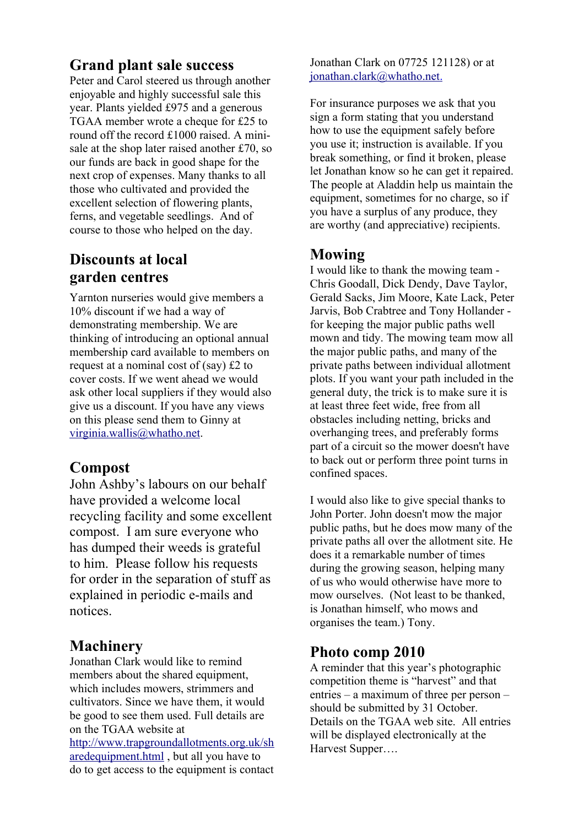#### **Grand plant sale success**

Peter and Carol steered us through another enjoyable and highly successful sale this year. Plants yielded £975 and a generous TGAA member wrote a cheque for £25 to round off the record £1000 raised. A minisale at the shop later raised another £70, so our funds are back in good shape for the next crop of expenses. Many thanks to all those who cultivated and provided the excellent selection of flowering plants, ferns, and vegetable seedlings. And of course to those who helped on the day.

# **Discounts at local garden centres**

Yarnton nurseries would give members a 10% discount if we had a way of demonstrating membership. We are thinking of introducing an optional annual membership card available to members on request at a nominal cost of (say) £2 to cover costs. If we went ahead we would ask other local suppliers if they would also give us a discount. If you have any views on this please send them to Ginny at [virginia.wallis@whatho.net.](mailto:virginia.wallis@whatho.net)

## **Compost**

John Ashby's labours on our behalf have provided a welcome local recycling facility and some excellent compost. I am sure everyone who has dumped their weeds is grateful to him. Please follow his requests for order in the separation of stuff as explained in periodic e-mails and notices.

#### **Machinery**

Jonathan Clark would like to remind members about the shared equipment. which includes mowers, strimmers and cultivators. Since we have them, it would be good to see them used. Full details are on the TGAA website at [http://www.trapgroundallotments.org.uk/sh](http://www.trapgroundallotments.org.uk/sharedequipment.html) [aredequipment.html](http://www.trapgroundallotments.org.uk/sharedequipment.html) , but all you have to do to get access to the equipment is contact Jonathan Clark on 07725 121128) or at  [jonathan.clark@whatho.net.](mailto:jonathan.clark@whatho.net)

For insurance purposes we ask that you sign a form stating that you understand how to use the equipment safely before you use it; instruction is available. If you break something, or find it broken, please let Jonathan know so he can get it repaired. The people at Aladdin help us maintain the equipment, sometimes for no charge, so if you have a surplus of any produce, they are worthy (and appreciative) recipients.

#### **Mowing**

I would like to thank the mowing team - Chris Goodall, Dick Dendy, Dave Taylor, Gerald Sacks, Jim Moore, Kate Lack, Peter Jarvis, Bob Crabtree and Tony Hollander for keeping the major public paths well mown and tidy. The mowing team mow all the major public paths, and many of the private paths between individual allotment plots. If you want your path included in the general duty, the trick is to make sure it is at least three feet wide, free from all obstacles including netting, bricks and overhanging trees, and preferably forms part of a circuit so the mower doesn't have to back out or perform three point turns in confined spaces.

I would also like to give special thanks to John Porter. John doesn't mow the major public paths, but he does mow many of the private paths all over the allotment site. He does it a remarkable number of times during the growing season, helping many of us who would otherwise have more to mow ourselves. (Not least to be thanked, is Jonathan himself, who mows and organises the team.) Tony.

### **Photo comp 2010**

A reminder that this year's photographic competition theme is "harvest" and that entries – a maximum of three per person – should be submitted by 31 October. Details on the TGAA web site. All entries will be displayed electronically at the Harvest Supper….